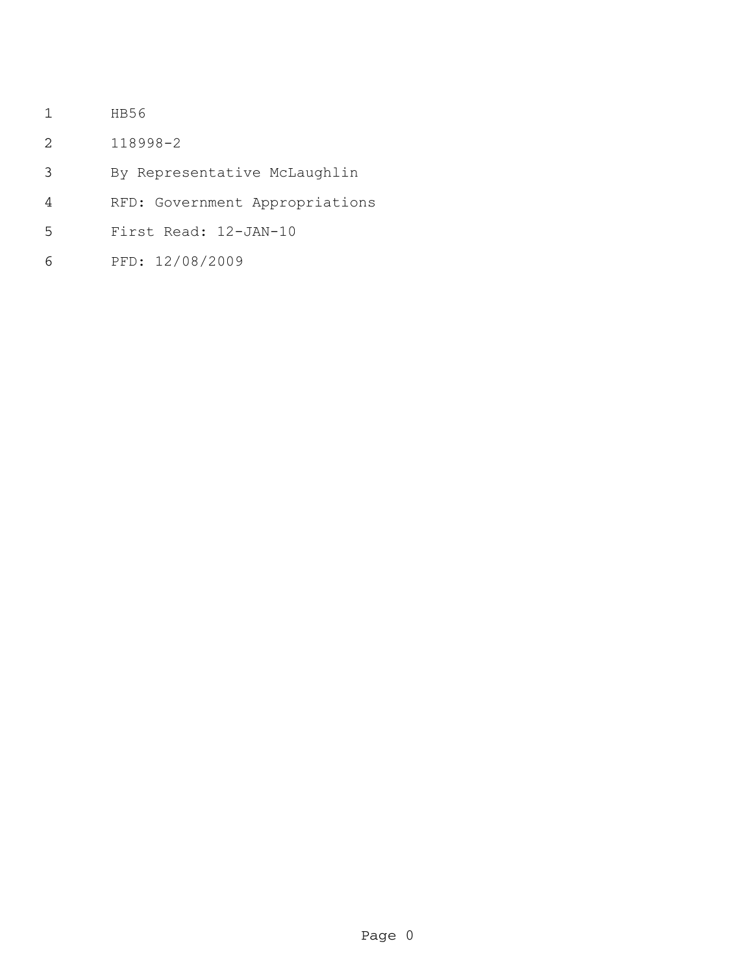- HB56
- 118998-2
- By Representative McLaughlin
- RFD: Government Appropriations
- First Read: 12-JAN-10
- PFD: 12/08/2009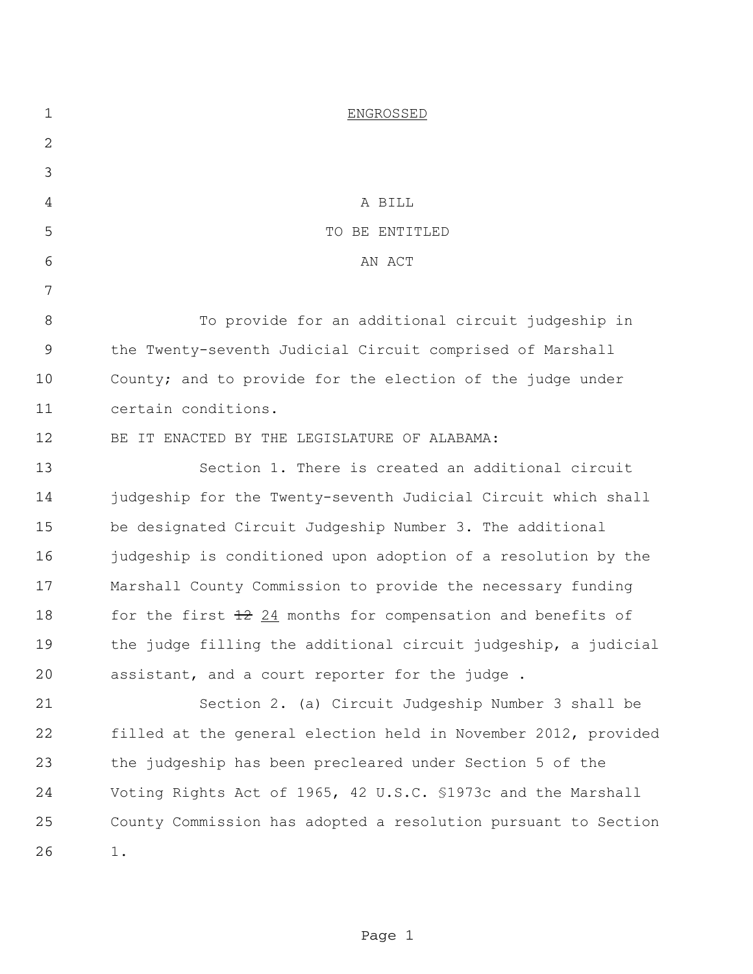| $\mathbf 1$ | <b>ENGROSSED</b>                                                      |
|-------------|-----------------------------------------------------------------------|
| 2           |                                                                       |
| 3           |                                                                       |
| 4           | A BILL                                                                |
| 5           | TO BE ENTITLED                                                        |
| 6           | AN ACT                                                                |
| 7           |                                                                       |
| 8           | To provide for an additional circuit judgeship in                     |
| $\mathsf 9$ | the Twenty-seventh Judicial Circuit comprised of Marshall             |
| 10          | County; and to provide for the election of the judge under            |
| 11          | certain conditions.                                                   |
| 12          | BE IT ENACTED BY THE LEGISLATURE OF ALABAMA:                          |
| 13          | Section 1. There is created an additional circuit                     |
| 14          | judgeship for the Twenty-seventh Judicial Circuit which shall         |
| 15          | be designated Circuit Judgeship Number 3. The additional              |
| 16          | judgeship is conditioned upon adoption of a resolution by the         |
| 17          | Marshall County Commission to provide the necessary funding           |
| 18          | for the first $\frac{12}{24}$ months for compensation and benefits of |
| 19          | the judge filling the additional circuit judgeship, a judicial        |
| 20          | assistant, and a court reporter for the judge.                        |
| 21          | Section 2. (a) Circuit Judgeship Number 3 shall be                    |
| 22          | filled at the general election held in November 2012, provided        |
| 23          | the judgeship has been precleared under Section 5 of the              |
| 24          | Voting Rights Act of 1965, 42 U.S.C. \$1973c and the Marshall         |
| 25          | County Commission has adopted a resolution pursuant to Section        |
| 26          | 1.                                                                    |
|             |                                                                       |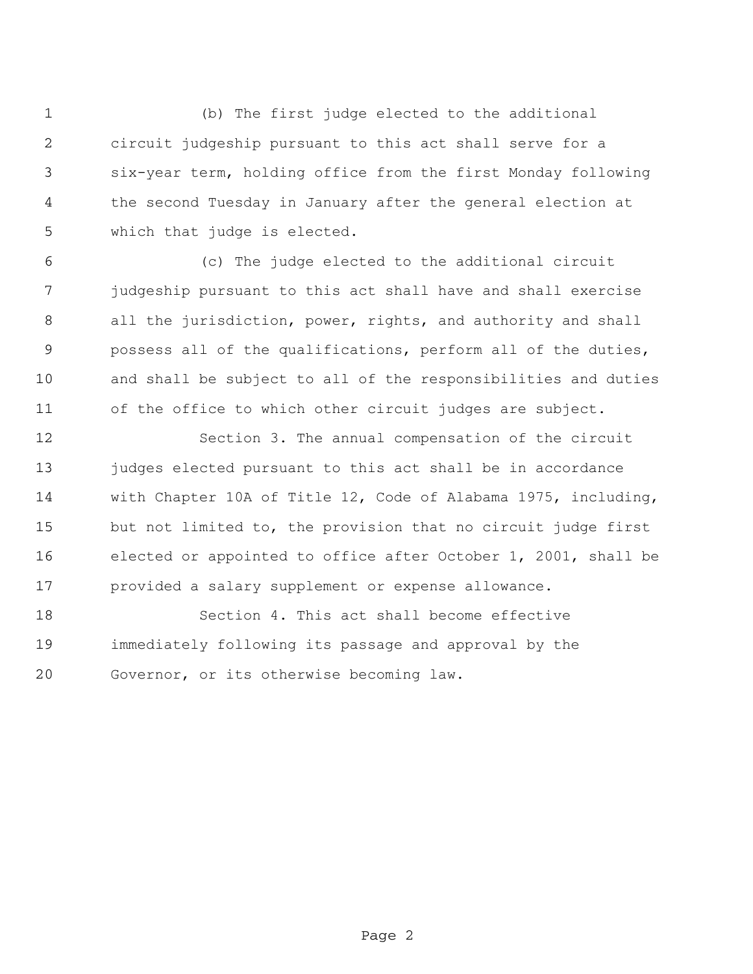(b) The first judge elected to the additional circuit judgeship pursuant to this act shall serve for a six-year term, holding office from the first Monday following the second Tuesday in January after the general election at which that judge is elected.

 (c) The judge elected to the additional circuit judgeship pursuant to this act shall have and shall exercise all the jurisdiction, power, rights, and authority and shall possess all of the qualifications, perform all of the duties, and shall be subject to all of the responsibilities and duties of the office to which other circuit judges are subject.

 Section 3. The annual compensation of the circuit 13 judges elected pursuant to this act shall be in accordance with Chapter 10A of Title 12, Code of Alabama 1975, including, but not limited to, the provision that no circuit judge first elected or appointed to office after October 1, 2001, shall be provided a salary supplement or expense allowance.

 Section 4. This act shall become effective immediately following its passage and approval by the Governor, or its otherwise becoming law.

Page 2